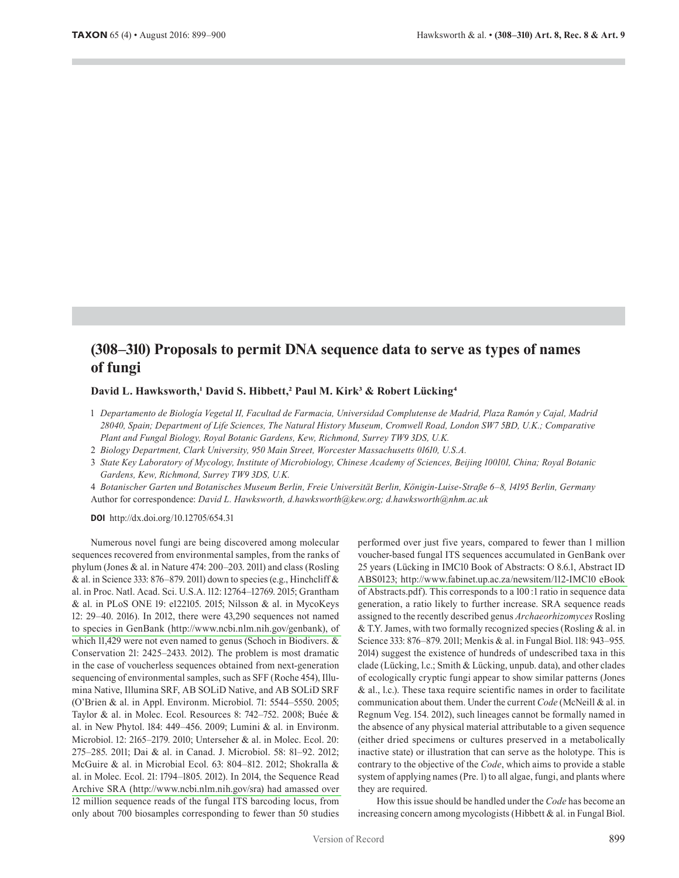# **(308–310) Proposals to permit DNA sequence data to serve as types of names of fungi**

## **David L. Hawksworth,1 David S. Hibbett,2 Paul M. Kirk3 & Robert Lücking4**

- 1 *Departamento de Biología Vegetal II, Facultad de Farmacia, Universidad Complutense de Madrid, Plaza Ramón y Cajal, Madrid 28040, Spain; Department of Life Sciences, The Natural History Museum, Cromwell Road, London SW7 5BD, U.K.; Comparative Plant and Fungal Biology, Royal Botanic Gardens, Kew, Richmond, Surrey TW9 3DS, U.K.*
- 2 *Biology Department, Clark University, 950 Main Street, Worcester Massachusetts 01610, U.S.A.*
- 3 *State Key Laboratory of Mycology, Institute of Microbiology, Chinese Academy of Sciences, Beijing 100101, China; Royal Botanic Gardens, Kew, Richmond, Surrey TW9 3DS, U.K.*

4 *Botanischer Garten und Botanisches Museum Berlin, Freie Universität Berlin, Königin-Luise-Straße 6–8, 14195 Berlin, Germany* Author for correspondence: *David L. Hawksworth, d.hawksworth@kew.org; d.hawksworth@nhm.ac.uk*

**DOI** http://dx.doi.org/10.12705/654.31

Numerous novel fungi are being discovered among molecular sequences recovered from environmental samples, from the ranks of phylum (Jones & al. in Nature 474: 200–203. 2011) and class (Rosling & al. in Science 333: 876–879. 2011) down to species (e.g., Hinchcliff & al. in Proc. Natl. Acad. Sci. U.S.A. 112: 12764–12769. 2015; Grantham & al. in PLoS ONE 19: e122105. 2015; Nilsson & al. in MycoKeys 12: 29–40. 2016). In 2012, there were 43,290 sequences not named to species in GenBank [\(http://www.ncbi.nlm.nih.gov/genbank\),](http://www.ncbi.nlm.nih.gov/genbank),of) of which 11,429 were not even named to genus (Schoch in Biodivers. & Conservation 21: 2425–2433. 2012). The problem is most dramatic in the case of voucherless sequences obtained from next-generation sequencing of environmental samples, such as SFF (Roche 454), Illumina Native, Illumina SRF, AB SOLiD Native, and AB SOLiD SRF (O'Brien & al. in Appl. Environm. Microbiol. 71: 5544–5550. 2005; Taylor & al. in Molec. Ecol. Resources 8: 742–752. 2008; Buée & al. in New Phytol. 184: 449–456. 2009; Lumini & al. in Environm. Microbiol. 12: 2165–2179. 2010; Unterseher & al. in Molec. Ecol. 20: 275–285. 2011; Dai & al. in Canad. J. Microbiol. 58: 81–92. 2012; McGuire & al. in Microbial Ecol. 63: 804–812. 2012; Shokralla & al. in Molec. Ecol. 21: 1794–1805. 2012). In 2014, the Sequence Read Archive SRA [\(http://www.ncbi.nlm.nih.gov/sra\)](http://www.ncbi.nlm.nih.gov/sra)hadamassedover) had amassed over 12 million sequence reads of the fungal ITS barcoding locus, from only about 700 biosamples corresponding to fewer than 50 studies performed over just five years, compared to fewer than 1 million voucher-based fungal ITS sequences accumulated in GenBank over 25 years (Lücking in IMC10 Book of Abstracts: O 8.6.1, Abstract ID ABS0123; [http://www.fabinet.up.ac.za/newsitem/112-IMC10](http://www.fabinet.up.ac.za/newsitem/112-IMC10eBook) eBook of Abstracts.pdf). This corresponds to a 100: 1 ratio in sequence data generation, a ratio likely to further increase. SRA sequence reads assigned to the recently described genus *Archaeorhizomyces* Rosling & T.Y. James, with two formally recognized species (Rosling & al. in Science 333: 876–879. 2011; Menkis & al. in Fungal Biol. 118: 943–955. 2014) suggest the existence of hundreds of undescribed taxa in this clade (Lücking, l.c.; Smith & Lücking, unpub. data), and other clades of ecologically cryptic fungi appear to show similar patterns (Jones & al., l.c.). These taxa require scientific names in order to facilitate communication about them. Under the current *Code* (McNeill & al. in Regnum Veg. 154. 2012), such lineages cannot be formally named in the absence of any physical material attributable to a given sequence (either dried specimens or cultures preserved in a metabolically inactive state) or illustration that can serve as the holotype. This is contrary to the objective of the *Code*, which aims to provide a stable system of applying names (Pre. 1) to all algae, fungi, and plants where they are required.

How this issue should be handled under the *Code* has become an increasing concern among mycologists (Hibbett & al. in Fungal Biol.